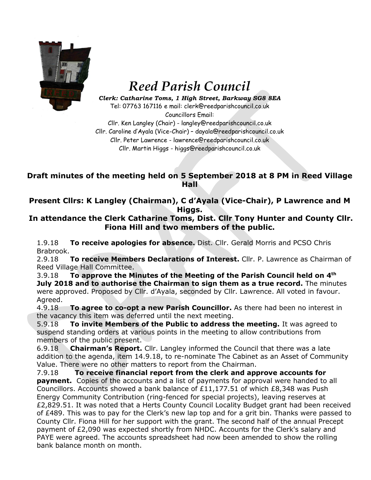

## *Reed Parish Council*

*Clerk: Catharine Toms, 1 High Street, Barkway SG8 8EA* Tel: 07763 167116 e mail: clerk@reedparishcouncil.co.uk

Councillors Email: Cllr. Ken Langley (Chair) - langley@reedparishcouncil.co.uk Cllr. Caroline d'Ayala (Vice-Chair) – [dayala@reedparishcouncil.co.uk](mailto:dayala@reedparishcouncil.co.uk) Cllr. Peter Lawrence - lawrence@reedparishcouncil.co.uk Cllr. Martin Higgs - higgs@reedparishcouncil.co.uk

## **Draft minutes of the meeting held on 5 September 2018 at 8 PM in Reed Village Hall**

**Present Cllrs: K Langley (Chairman), C d'Ayala (Vice-Chair), P Lawrence and M Higgs.**

**In attendance the Clerk Catharine Toms, Dist. Cllr Tony Hunter and County Cllr. Fiona Hill and two members of the public.**

1.9.18 **To receive apologies for absence.** Dist. Cllr. Gerald Morris and PCSO Chris Brabrook.

2.9.18 **To receive Members Declarations of Interest.** Cllr. P. Lawrence as Chairman of Reed Village Hall Committee.

3.9.18 **To approve the Minutes of the Meeting of the Parish Council held on 4 th July 2018 and to authorise the Chairman to sign them as a true record.** The minutes were approved. Proposed by Cllr. d'Ayala, seconded by Cllr. Lawrence. All voted in favour. Agreed.

4.9.18 **To agree to co-opt a new Parish Councillor.** As there had been no interest in the vacancy this item was deferred until the next meeting.

5.9.18 **To invite Members of the Public to address the meeting.** It was agreed to suspend standing orders at various points in the meeting to allow contributions from members of the public present.

6.9.18 **Chairman's Report.** Cllr. Langley informed the Council that there was a late addition to the agenda, item 14.9.18, to re-nominate The Cabinet as an Asset of Community Value. There were no other matters to report from the Chairman.

7.9.18 **To receive financial report from the clerk and approve accounts for payment.** Copies of the accounts and a list of payments for approval were handed to all Councillors. Accounts showed a bank balance of £11,177.51 of which £8,348 was Push Energy Community Contribution (ring-fenced for special projects), leaving reserves at £2,829.51. It was noted that a Herts County Council Locality Budget grant had been received of £489. This was to pay for the Clerk's new lap top and for a grit bin. Thanks were passed to County Cllr. Fiona Hill for her support with the grant. The second half of the annual Precept payment of £2,090 was expected shortly from NHDC. Accounts for the Clerk's salary and PAYE were agreed. The accounts spreadsheet had now been amended to show the rolling bank balance month on month.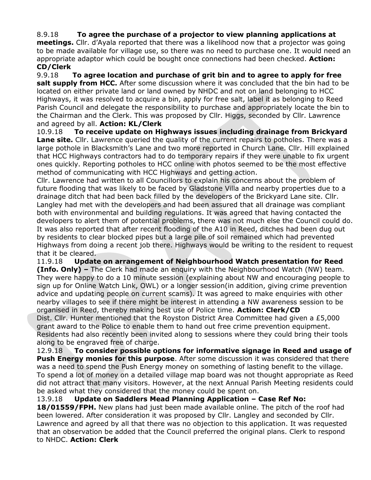## 8.9.18 **To agree the purchase of a projector to view planning applications at**

**meetings.** Cllr. d'Ayala reported that there was a likelihood now that a projector was going to be made available for village use, so there was no need to purchase one. It would need an appropriate adaptor which could be bought once connections had been checked. **Action: CD/Clerk**

9.9.18 **To agree location and purchase of grit bin and to agree to apply for free salt supply from HCC.** After some discussion where it was concluded that the bin had to be located on either private land or land owned by NHDC and not on land belonging to HCC Highways, it was resolved to acquire a bin, apply for free salt, label it as belonging to Reed Parish Council and delegate the responsibility to purchase and appropriately locate the bin to the Chairman and the Clerk. This was proposed by Cllr. Higgs, seconded by Cllr. Lawrence and agreed by all. **Action: KL/Clerk**

10.9.18 **To receive update on Highways issues including drainage from Brickyard Lane site.** Cllr. Lawrence queried the quality of the current repairs to potholes. There was a large pothole in Blacksmith's Lane and two more reported in Church Lane. Cllr. Hill explained that HCC Highways contractors had to do temporary repairs if they were unable to fix urgent ones quickly. Reporting potholes to HCC online with photos seemed to be the most effective method of communicating with HCC Highways and getting action.

Cllr. Lawrence had written to all Councillors to explain his concerns about the problem of future flooding that was likely to be faced by Gladstone Villa and nearby properties due to a drainage ditch that had been back filled by the developers of the Brickyard Lane site. Cllr. Langley had met with the developers and had been assured that all drainage was compliant both with environmental and building regulations. It was agreed that having contacted the developers to alert them of potential problems, there was not much else the Council could do. It was also reported that after recent flooding of the A10 in Reed, ditches had been dug out by residents to clear blocked pipes but a large pile of soil remained which had prevented Highways from doing a recent job there. Highways would be writing to the resident to request that it be cleared.

11.9.18 **Update on arrangement of Neighbourhood Watch presentation for Reed (Info. Only) –** The Clerk had made an enquiry with the Neighbourhood Watch (NW) team. They were happy to do a 10 minute session (explaining about NW and encouraging people to sign up for Online Watch Link, OWL) or a longer session(in addition, giving crime prevention advice and updating people on current scams). It was agreed to make enquiries with other nearby villages to see if there might be interest in attending a NW awareness session to be organised in Reed, thereby making best use of Police time. **Action: Clerk/CD** Dist. Cllr. Hunter mentioned that the Royston District Area Committee had given a £5,000 grant award to the Police to enable them to hand out free crime prevention equipment.

Residents had also recently been invited along to sessions where they could bring their tools along to be engraved free of charge.

12.9.18 **To consider possible options for informative signage in Reed and usage of Push Energy monies for this purpose**. After some discussion it was considered that there was a need to spend the Push Energy money on something of lasting benefit to the village. To spend a lot of money on a detailed village map board was not thought appropriate as Reed did not attract that many visitors. However, at the next Annual Parish Meeting residents could be asked what they considered that the money could be spent on.

13.9.18 **Update on Saddlers Mead Planning Application – Case Ref No: 18/01559/FPH.** New plans had just been made available online. The pitch of the roof had been lowered. After consideration it was proposed by Cllr. Langley and seconded by Cllr. Lawrence and agreed by all that there was no objection to this application. It was requested that an observation be added that the Council preferred the original plans. Clerk to respond to NHDC. **Action: Clerk**